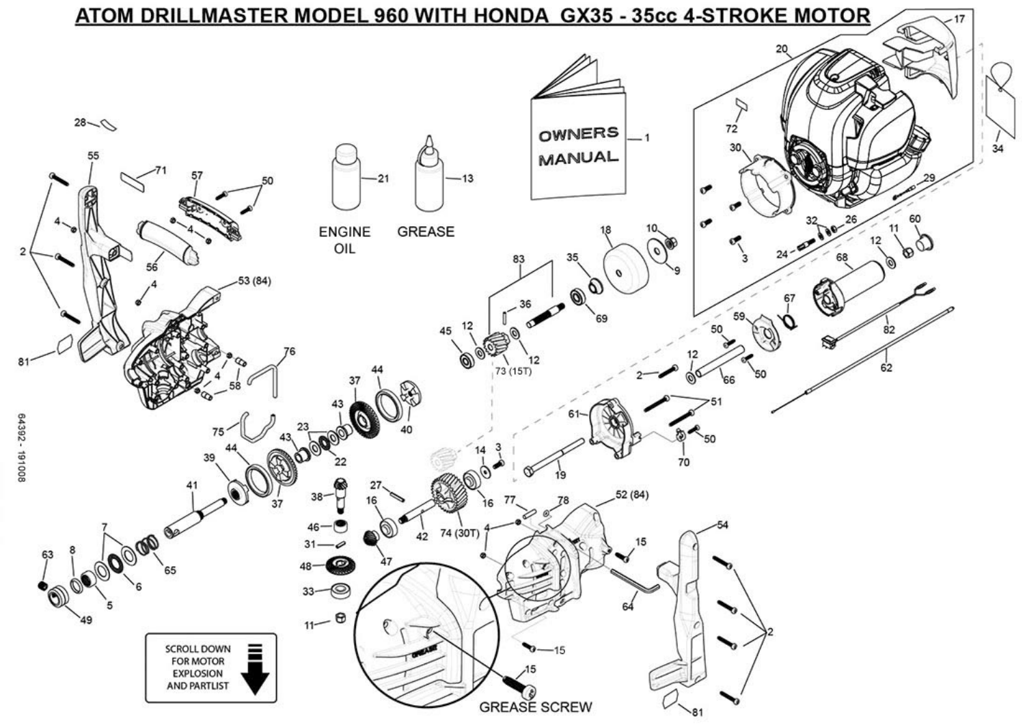